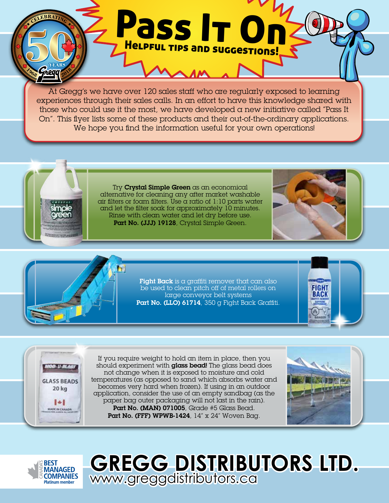At Gregg's we have over 120 sales staff who are regularly exposed to learning experiences through their sales calls. In an effort to have this knowledge shared with those who could use it the most, we have developed a new initiative called "Pass It On". This flyer lists some of these products and their out-of-the-ordinary applications. We hope you find the information useful for your own operations!

Pass It On

Helpful tips and suggestions!

Try Crystal Simple Green as an economical alternative for cleaning any after market washable air filters or foam filters. Use a ratio of  $1:10$  parts water and let the filter soak for approximately 10 minutes. Rinse with clean water and let dry before use. Part No. (JJJ) 19128, Crystal Simple Green.





**Fight Back** is a graffiti remover that can also be used to clean pitch off of metal rollers on large conveyor belt systems Part No. (LLO) 61714, 350 g Fight Back Graffiti.





If you require weight to hold an item in place, then you should experiment with glass bead! The glass bead does not change when it is exposed to moisture and cold temperatures (as opposed to sand which absorbs water and becomes very hard when frozen). If using in an outdoor application, consider the use of an empty sandbag (as the paper bag outer packaging will not last in the rain). Part No. (MAN) 071005, Grade #5 Glass Bead. Part No. (FFF) WPWB-1424, 14" x 24" Woven Bag.





**GREGG DISTRIBUTORS LTD.** www.greggdistributors.ca